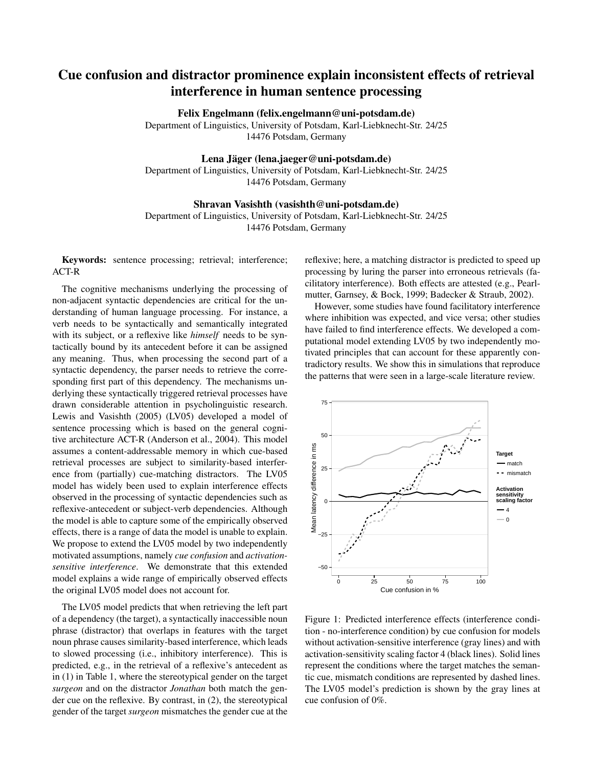# Cue confusion and distractor prominence explain inconsistent effects of retrieval interference in human sentence processing

Felix Engelmann (felix.engelmann@uni-potsdam.de)

Department of Linguistics, University of Potsdam, Karl-Liebknecht-Str. 24/25 14476 Potsdam, Germany

#### Lena Jäger (lena.jaeger@uni-potsdam.de)

Department of Linguistics, University of Potsdam, Karl-Liebknecht-Str. 24/25 14476 Potsdam, Germany

#### Shravan Vasishth (vasishth@uni-potsdam.de)

Department of Linguistics, University of Potsdam, Karl-Liebknecht-Str. 24/25 14476 Potsdam, Germany

Keywords: sentence processing; retrieval; interference; ACT-R

The cognitive mechanisms underlying the processing of non-adjacent syntactic dependencies are critical for the understanding of human language processing. For instance, a verb needs to be syntactically and semantically integrated with its subject, or a reflexive like *himself* needs to be syntactically bound by its antecedent before it can be assigned any meaning. Thus, when processing the second part of a syntactic dependency, the parser needs to retrieve the corresponding first part of this dependency. The mechanisms underlying these syntactically triggered retrieval processes have drawn considerable attention in psycholinguistic research. Lewis and Vasishth (2005) (LV05) developed a model of sentence processing which is based on the general cognitive architecture ACT-R (Anderson et al., 2004). This model assumes a content-addressable memory in which cue-based retrieval processes are subject to similarity-based interference from (partially) cue-matching distractors. The LV05 model has widely been used to explain interference effects observed in the processing of syntactic dependencies such as reflexive-antecedent or subject-verb dependencies. Although the model is able to capture some of the empirically observed effects, there is a range of data the model is unable to explain. We propose to extend the LV05 model by two independently motivated assumptions, namely *cue confusion* and *activationsensitive interference*. We demonstrate that this extended model explains a wide range of empirically observed effects the original LV05 model does not account for.

The LV05 model predicts that when retrieving the left part of a dependency (the target), a syntactically inaccessible noun phrase (distractor) that overlaps in features with the target noun phrase causes similarity-based interference, which leads to slowed processing (i.e., inhibitory interference). This is predicted, e.g., in the retrieval of a reflexive's antecedent as in (1) in Table 1, where the stereotypical gender on the target *surgeon* and on the distractor *Jonathan* both match the gender cue on the reflexive. By contrast, in (2), the stereotypical gender of the target *surgeon* mismatches the gender cue at the reflexive; here, a matching distractor is predicted to speed up processing by luring the parser into erroneous retrievals (facilitatory interference). Both effects are attested (e.g., Pearlmutter, Garnsey, & Bock, 1999; Badecker & Straub, 2002).

However, some studies have found facilitatory interference where inhibition was expected, and vice versa; other studies have failed to find interference effects. We developed a computational model extending LV05 by two independently motivated principles that can account for these apparently contradictory results. We show this in simulations that reproduce the patterns that were seen in a large-scale literature review.



Figure 1: Predicted interference effects (interference condition - no-interference condition) by cue confusion for models without activation-sensitive interference (gray lines) and with activation-sensitivity scaling factor 4 (black lines). Solid lines represent the conditions where the target matches the semantic cue, mismatch conditions are represented by dashed lines. The LV05 model's prediction is shown by the gray lines at cue confusion of 0%.